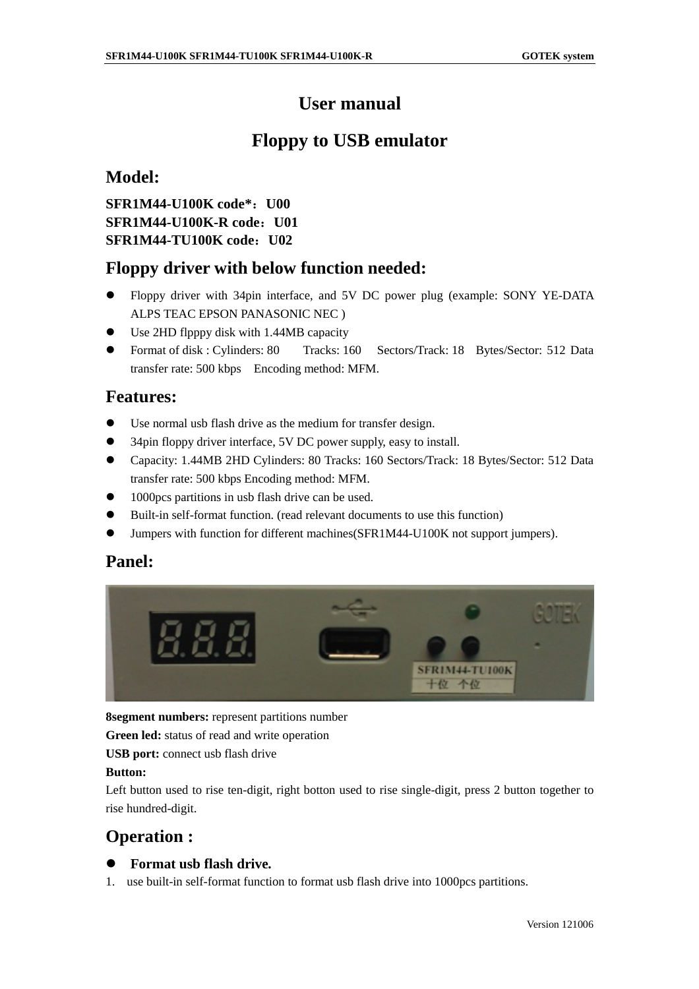# **User manual**

# **Floppy to USB emulator**

## **Model:**

**SFR1M44-U100K code\* U00 SFR1M44-U100K-Rcode: U01 SFR1M44-TU100K code U02**

## **Floppy driver with below function needed:**

- Floppy driver with 34pin interface, and 5V DC power plug (example: SONY YE -DATA ALPSTEACEPSON PANASONICNEC)
- $\bullet$  Use2HDflpppydiskwith 1.44MB capacity
- Format of disk: Cylinders: 80 Tracks: 160 Sectors/Track: 18 Bytes/Sector: 512 Data transferrate: 500kbps Encoding method: MFM.

## **Features:**

- $\bullet$  Usenormal usbflash drive as the medium for transferd esign.
- $\bullet$  34pinfloppydriver interface, 5VDC powers upply, easy to install.
- Capacity: 1.44MB 2HD Cylinders: 80 Tracks: 160 Sectors/Track: 18 Bytes/Sector: 512 Data transferrate: 500kbps Encoding method: MFM.
- 1000 pcs partitions in usb flash drive can be us ed.
- $\bullet$  Built-inself-format function. (read relevant documents to use this function)
- Jumpers with function for different machines (SFR1M44-U100K not support jumpers).

## **Panel:**



**8segment numbers:** represent partitions number

Greenled: status of read and write op eration

**USB port:** connectus b flash drive

#### **Button:**

Left button used to rise ten -digit, right botton used to rise single -digit, press 2 button together to rise hundred -digit.

## **Operation :**

#### $\bullet$  Formatusbflashdrive.

1. use built -inself -format function to format us b flash drive into 1000 pc spartitions.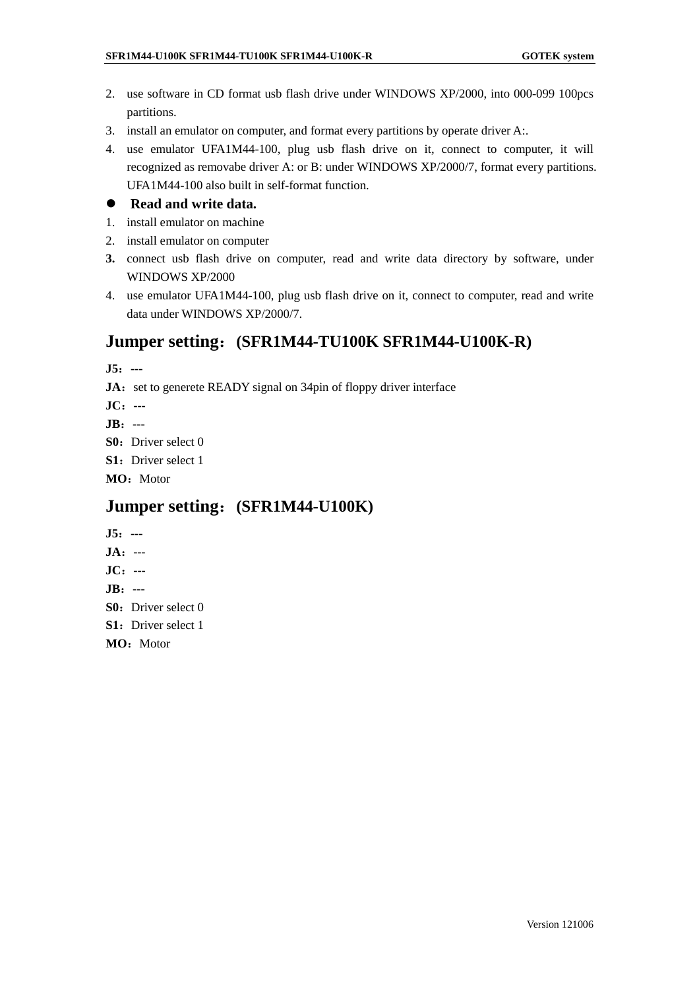- 2. use software in CD format usb flash drive under WINDOWS XP/2000, into 000 -099 100 pcs partitions.
- 3. install an emulator on computer, and formate very partitions by operated river A:.
- 4. use emulator UFA1M44 -100, plug usb fl ash drive on it, connect to computer, it will recognized as removabe driver A: or B: under WINDOWS XP/2000/7 , format every partitions. UFA1M44-100 also builtins elf -format function.

#### **•** Readandwritedata .

- 1. installemulator on machine
- 2. installemulator on comp uter
- **3.** connect usb flash drive on computer, read and write data directory by software, under WINDOWS XP/2000
- 4. use emulator UFA1M44 -100, plug usb flash drive on it, connect to computer, read and write dataunder WINDOWS XP/2000/7.

### **Jumper setting (SFR1M44-TU100K SFR1M44 -U100K-R)**

- **J5---**
- **JA**: settogenereteREADY signal on 34pin of floppy driver interface
- **JC---**
- **JB---**
- **S0**: Driverselect0
- **S1**: Driverselect1
- **MO**: Motor

#### **Jumper setting (SFR1M44-U100K)**

- **J5---**
- **JA**---
- **JC---**
- **JB---**
- **S0**: Driverselect0
- **S1**: Driver select1
- **MO**: Motor